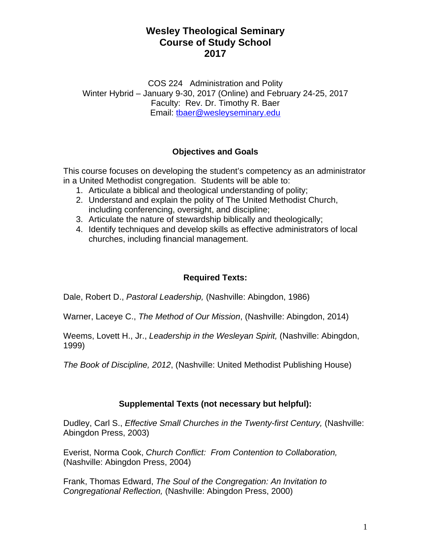COS 224 Administration and Polity Winter Hybrid – January 9-30, 2017 (Online) and February 24-25, 2017 Faculty: Rev. Dr. Timothy R. Baer Email: tbaer@wesleyseminary.edu

### **Objectives and Goals**

This course focuses on developing the student's competency as an administrator in a United Methodist congregation. Students will be able to:

- 1. Articulate a biblical and theological understanding of polity;
- 2. Understand and explain the polity of The United Methodist Church, including conferencing, oversight, and discipline;
- 3. Articulate the nature of stewardship biblically and theologically;
- 4. Identify techniques and develop skills as effective administrators of local churches, including financial management.

### **Required Texts:**

Dale, Robert D., *Pastoral Leadership,* (Nashville: Abingdon, 1986)

Warner, Laceye C., *The Method of Our Mission*, (Nashville: Abingdon, 2014)

Weems, Lovett H., Jr., *Leadership in the Wesleyan Spirit,* (Nashville: Abingdon, 1999)

*The Book of Discipline, 2012*, (Nashville: United Methodist Publishing House)

### **Supplemental Texts (not necessary but helpful):**

Dudley, Carl S., *Effective Small Churches in the Twenty-first Century,* (Nashville: Abingdon Press, 2003)

Everist, Norma Cook, *Church Conflict: From Contention to Collaboration,* (Nashville: Abingdon Press, 2004)

Frank, Thomas Edward, *The Soul of the Congregation: An Invitation to Congregational Reflection,* (Nashville: Abingdon Press, 2000)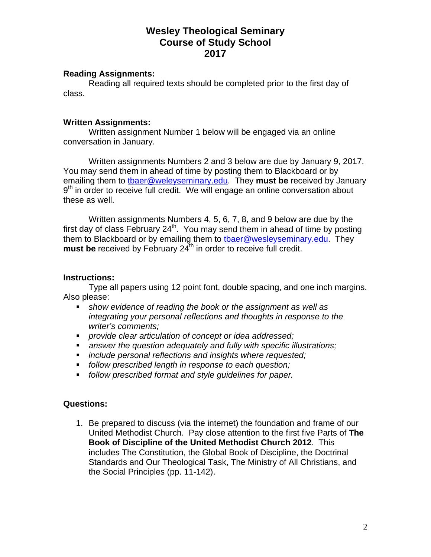#### **Reading Assignments:**

 Reading all required texts should be completed prior to the first day of class.

#### **Written Assignments:**

 Written assignment Number 1 below will be engaged via an online conversation in January.

 Written assignments Numbers 2 and 3 below are due by January 9, 2017. You may send them in ahead of time by posting them to Blackboard or by emailing them to tbaer@weleyseminary.edu. They **must be** received by January  $9<sup>th</sup>$  in order to receive full credit. We will engage an online conversation about these as well.

 Written assignments Numbers 4, 5, 6, 7, 8, and 9 below are due by the first day of class February 24<sup>th</sup>. You may send them in ahead of time by posting them to Blackboard or by emailing them to thaer@wesleyseminary.edu. They **must be** received by February 24<sup>th</sup> in order to receive full credit.

#### **Instructions:**

 Type all papers using 12 point font, double spacing, and one inch margins. Also please:

- *show evidence of reading the book or the assignment as well as integrating your personal reflections and thoughts in response to the writer's comments;*
- *provide clear articulation of concept or idea addressed;*
- *answer the question adequately and fully with specific illustrations;*
- *include personal reflections and insights where requested;*
- *follow prescribed length in response to each question;*
- *follow prescribed format and style guidelines for paper.*

#### **Questions:**

1. Be prepared to discuss (via the internet) the foundation and frame of our United Methodist Church. Pay close attention to the first five Parts of **The Book of Discipline of the United Methodist Church 2012**. This includes The Constitution, the Global Book of Discipline, the Doctrinal Standards and Our Theological Task, The Ministry of All Christians, and the Social Principles (pp. 11-142).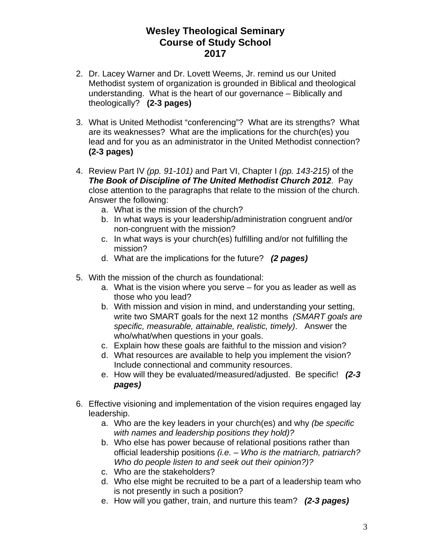- 2. Dr. Lacey Warner and Dr. Lovett Weems, Jr. remind us our United Methodist system of organization is grounded in Biblical and theological understanding. What is the heart of our governance – Biblically and theologically? **(2-3 pages)**
- 3. What is United Methodist "conferencing"? What are its strengths? What are its weaknesses? What are the implications for the church(es) you lead and for you as an administrator in the United Methodist connection? **(2-3 pages)**
- 4. Review Part IV *(pp. 91-101)* and Part VI, Chapter I *(pp. 143-215)* of the *The Book of Discipline of The United Methodist Church 2012*. Pay close attention to the paragraphs that relate to the mission of the church. Answer the following:
	- a. What is the mission of the church?
	- b. In what ways is your leadership/administration congruent and/or non-congruent with the mission?
	- c. In what ways is your church(es) fulfilling and/or not fulfilling the mission?
	- d. What are the implications for the future? *(2 pages)*
- 5. With the mission of the church as foundational:
	- a. What is the vision where you serve for you as leader as well as those who you lead?
	- b. With mission and vision in mind, and understanding your setting, write two SMART goals for the next 12 months *(SMART goals are specific, measurable, attainable, realistic, timely)*. Answer the who/what/when questions in your goals.
	- c. Explain how these goals are faithful to the mission and vision?
	- d. What resources are available to help you implement the vision? Include connectional and community resources.
	- e. How will they be evaluated/measured/adjusted. Be specific! *(2-3 pages)*
- 6. Effective visioning and implementation of the vision requires engaged lay leadership.
	- a. Who are the key leaders in your church(es) and why *(be specific with names and leadership positions they hold)?*
	- b. Who else has power because of relational positions rather than official leadership positions *(i.e. – Who is the matriarch, patriarch? Who do people listen to and seek out their opinion?)?*
	- c. Who are the stakeholders?
	- d. Who else might be recruited to be a part of a leadership team who is not presently in such a position?
	- e. How will you gather, train, and nurture this team? *(2-3 pages)*